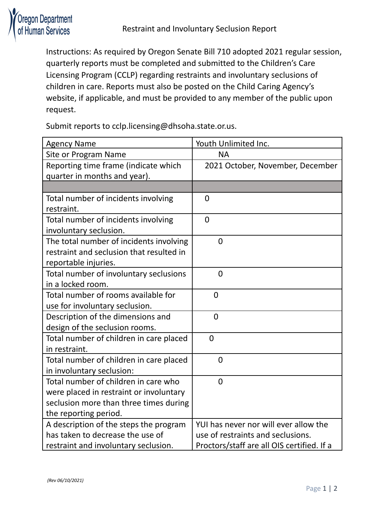

Instructions: As required by Oregon Senate Bill 710 adopted 2021 regular session, quarterly reports must be completed and submitted to the Children's Care Licensing Program (CCLP) regarding restraints and involuntary seclusions of children in care. Reports must also be posted on the Child Caring Agency's website, if applicable, and must be provided to any member of the public upon request.

Submit reports to cclp.licensing@dhsoha.state.or.us.

| <b>Agency Name</b>                       | Youth Unlimited Inc.                       |
|------------------------------------------|--------------------------------------------|
| Site or Program Name                     | <b>NA</b>                                  |
| Reporting time frame (indicate which     | 2021 October, November, December           |
| quarter in months and year).             |                                            |
|                                          |                                            |
| Total number of incidents involving      | $\overline{0}$                             |
| restraint.                               |                                            |
| Total number of incidents involving      | $\overline{0}$                             |
| involuntary seclusion.                   |                                            |
| The total number of incidents involving  | $\overline{0}$                             |
| restraint and seclusion that resulted in |                                            |
| reportable injuries.                     |                                            |
| Total number of involuntary seclusions   | $\overline{0}$                             |
| in a locked room.                        |                                            |
| Total number of rooms available for      | $\overline{0}$                             |
| use for involuntary seclusion.           |                                            |
| Description of the dimensions and        | $\overline{0}$                             |
| design of the seclusion rooms.           |                                            |
| Total number of children in care placed  | $\overline{0}$                             |
| in restraint.                            |                                            |
| Total number of children in care placed  | $\overline{0}$                             |
| in involuntary seclusion:                |                                            |
| Total number of children in care who     | $\overline{0}$                             |
| were placed in restraint or involuntary  |                                            |
| seclusion more than three times during   |                                            |
| the reporting period.                    |                                            |
| A description of the steps the program   | YUI has never nor will ever allow the      |
| has taken to decrease the use of         | use of restraints and seclusions.          |
| restraint and involuntary seclusion.     | Proctors/staff are all OIS certified. If a |